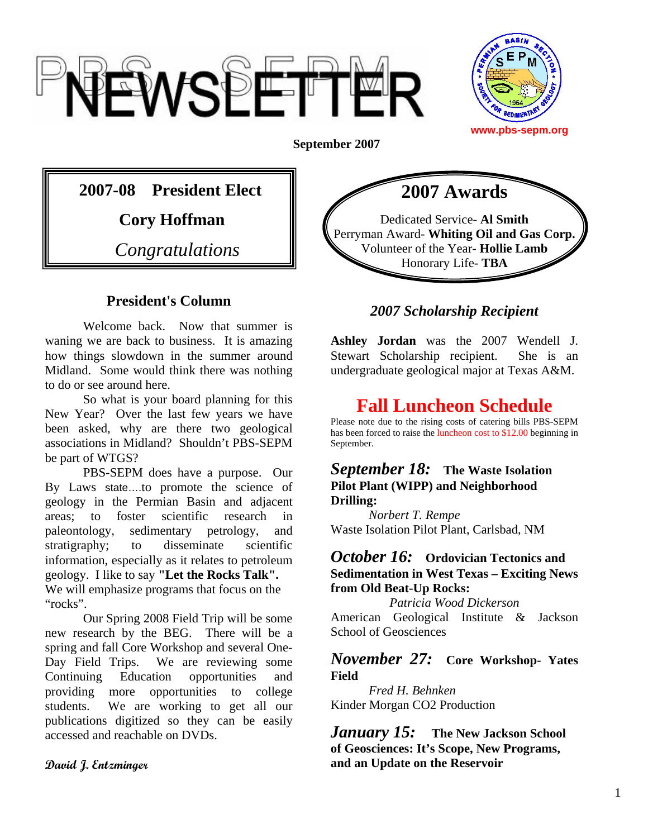



**September 2007**

## **2007-08 President Elect**

 **Cory Hoffman** 

*Congratulations* 

## **President's Column**

Welcome back. Now that summer is waning we are back to business. It is amazing how things slowdown in the summer around Midland. Some would think there was nothing to do or see around here.

So what is your board planning for this New Year? Over the last few years we have been asked, why are there two geological associations in Midland? Shouldn't PBS-SEPM be part of WTGS?

 PBS-SEPM does have a purpose. Our By Laws state….to promote the science of geology in the Permian Basin and adjacent areas; to foster scientific research in paleontology, sedimentary petrology, and stratigraphy; to disseminate scientific information, especially as it relates to petroleum geology. I like to say **"Let the Rocks Talk".**  We will emphasize programs that focus on the "rocks".

Our Spring 2008 Field Trip will be some new research by the BEG. There will be a spring and fall Core Workshop and several One-Day Field Trips. We are reviewing some Continuing Education opportunities and providing more opportunities to college students. We are working to get all our publications digitized so they can be easily accessed and reachable on DVDs.

#### **David J. Entzminger**



## *2007 Scholarship Recipient*

**Ashley Jordan** was the 2007 Wendell J. Stewart Scholarship recipient. She is an undergraduate geological major at Texas A&M.

# **Fall Luncheon Schedule**

Please note due to the rising costs of catering bills PBS-SEPM has been forced to raise the luncheon cost to \$12.00 beginning in September.

#### *September 18:* **The Waste Isolation Pilot Plant (WIPP) and Neighborhood Drilling:**

*Norbert T. Rempe* Waste Isolation Pilot Plant, Carlsbad, NM

### *October 16:* **Ordovician Tectonics and Sedimentation in West Texas – Exciting News from Old Beat-Up Rocks:**

*Patricia Wood Dickerson*  American Geological Institute & Jackson School of Geosciences

### *November 27:* **Core Workshop- Yates Field**

*Fred H. Behnken*  Kinder Morgan CO2 Production

*January 15:* **The New Jackson School of Geosciences: It's Scope, New Programs, and an Update on the Reservoir**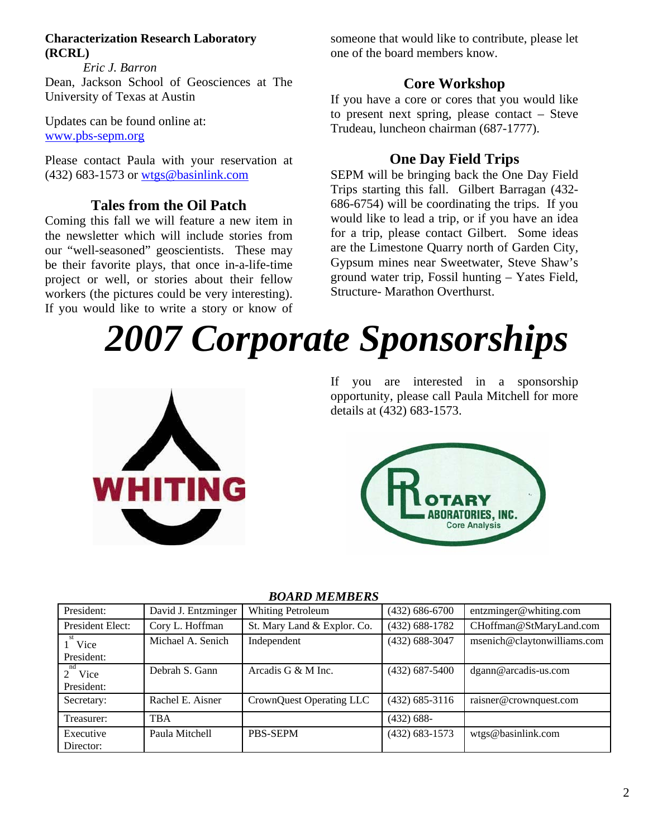#### **Characterization Research Laboratory (RCRL)**

*Eric J. Barron*  Dean, Jackson School of Geosciences at The University of Texas at Austin

Updates can be found online at: www.pbs-sepm.org

Please contact Paula with your reservation at (432) 683-1573 or wtgs@basinlink.com

## **Tales from the Oil Patch**

Coming this fall we will feature a new item in the newsletter which will include stories from our "well-seasoned" geoscientists. These may be their favorite plays, that once in-a-life-time project or well, or stories about their fellow workers (the pictures could be very interesting). If you would like to write a story or know of someone that would like to contribute, please let one of the board members know.

### **Core Workshop**

If you have a core or cores that you would like to present next spring, please contact – Steve Trudeau, luncheon chairman (687-1777).

## **One Day Field Trips**

SEPM will be bringing back the One Day Field Trips starting this fall. Gilbert Barragan (432- 686-6754) will be coordinating the trips. If you would like to lead a trip, or if you have an idea for a trip, please contact Gilbert. Some ideas are the Limestone Quarry north of Garden City, Gypsum mines near Sweetwater, Steve Shaw's ground water trip, Fossil hunting – Yates Field, Structure- Marathon Overthurst.

# *2007 Corporate Sponsorships*



If you are interested in a sponsorship opportunity, please call Paula Mitchell for more details at (432) 683-1573.



| President:                | David J. Entzminger | <b>Whiting Petroleum</b>    | $(432) 686 - 6700$ | entzminger@whiting.com      |
|---------------------------|---------------------|-----------------------------|--------------------|-----------------------------|
| President Elect:          | Cory L. Hoffman     | St. Mary Land & Explor. Co. | $(432)$ 688-1782   | CHoffman@StMaryLand.com     |
| Vice                      | Michael A. Senich   | Independent                 | $(432) 688 - 3047$ | msenich@claytonwilliams.com |
| President:                |                     |                             |                    |                             |
| nd<br>Vice<br>$2^{\circ}$ | Debrah S. Gann      | Arcadis G & M Inc.          | $(432) 687 - 5400$ | dgann@arcadis-us.com        |
| President:                |                     |                             |                    |                             |
| Secretary:                | Rachel E. Aisner    | CrownQuest Operating LLC    | $(432)$ 685-3116   | raisner@crownquest.com      |
| Treasurer:                | <b>TBA</b>          |                             | $(432) 688-$       |                             |
| Executive<br>Director:    | Paula Mitchell      | PBS-SEPM                    | $(432)$ 683-1573   | wtgs@basinlink.com          |

#### *BOARD MEMBERS*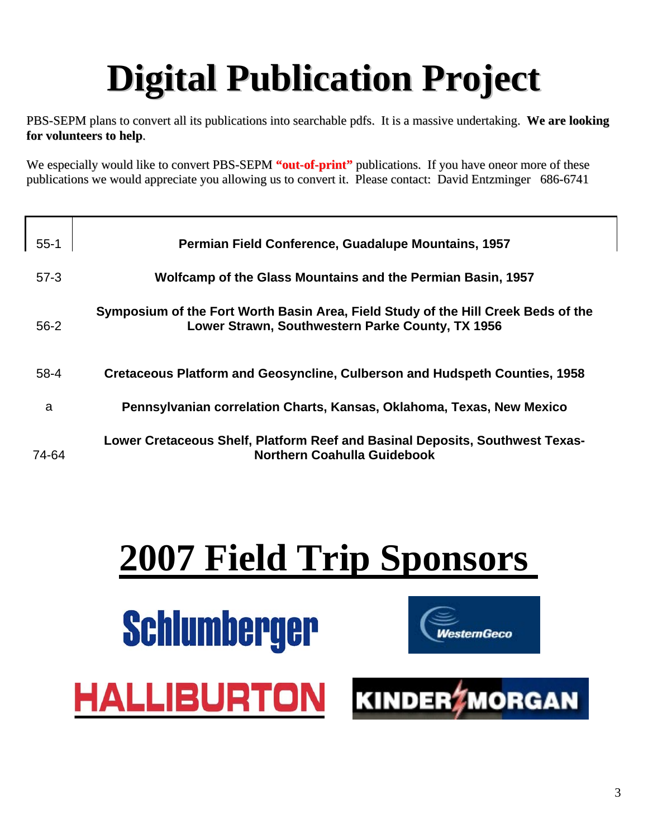# **Digital Publication Project**

PBS-SEPM plans to convert all its publications into searchable pdfs. It is a massive undertaking. **We are looking for volunteers to help**.

We especially would like to convert PBS-SEPM "out-of-print" publications. If you have oneor more of these publications we would appreciate you allowing us to convert it. Please contact: David Entzminger 686-6741

| $55 - 1$ | <b>Permian Field Conference, Guadalupe Mountains, 1957</b>                                                                            |
|----------|---------------------------------------------------------------------------------------------------------------------------------------|
| $57-3$   | Wolfcamp of the Glass Mountains and the Permian Basin, 1957                                                                           |
| $56 - 2$ | Symposium of the Fort Worth Basin Area, Field Study of the Hill Creek Beds of the<br>Lower Strawn, Southwestern Parke County, TX 1956 |
| $58 - 4$ | Cretaceous Platform and Geosyncline, Culberson and Hudspeth Counties, 1958                                                            |
| a        | Pennsylvanian correlation Charts, Kansas, Oklahoma, Texas, New Mexico                                                                 |
| 74-64    | Lower Cretaceous Shelf, Platform Reef and Basinal Deposits, Southwest Texas-<br><b>Northern Coahulla Guidebook</b>                    |

# **2007 Field Trip Sponsors**